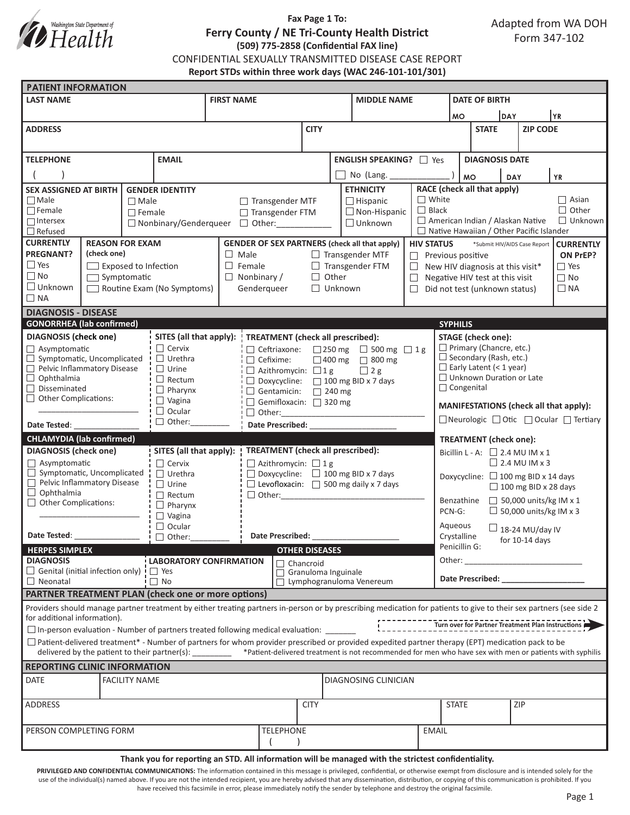

# **Fax Page 1 To: Ferry County / NE Tri-County Health District (509) 775-2858 (Confidential FAX line)** CONFIDENTIAL SEXUALLY TRANSMITTED DISEASE CASE REPORT **Report STDs within three work days (WAC 246-101-101/301)**

| <b>PATIENT INFORMATION</b>                                                             |                             |               |                                                                     |                                                                          |                                                   |                                                            |                                                                                                                                                                                                                                                                                                                   |                                 |                                                             |                                                                                                                |                               |                               |                                                   |  |  |
|----------------------------------------------------------------------------------------|-----------------------------|---------------|---------------------------------------------------------------------|--------------------------------------------------------------------------|---------------------------------------------------|------------------------------------------------------------|-------------------------------------------------------------------------------------------------------------------------------------------------------------------------------------------------------------------------------------------------------------------------------------------------------------------|---------------------------------|-------------------------------------------------------------|----------------------------------------------------------------------------------------------------------------|-------------------------------|-------------------------------|---------------------------------------------------|--|--|
| <b>LAST NAME</b>                                                                       |                             |               | <b>FIRST NAME</b>                                                   |                                                                          |                                                   | <b>MIDDLE NAME</b>                                         |                                                                                                                                                                                                                                                                                                                   |                                 | <b>DATE OF BIRTH</b>                                        |                                                                                                                |                               |                               |                                                   |  |  |
|                                                                                        |                             |               |                                                                     |                                                                          |                                                   |                                                            |                                                                                                                                                                                                                                                                                                                   |                                 | <b>MO</b>                                                   |                                                                                                                | DAY                           |                               | YR)                                               |  |  |
| <b>ADDRESS</b>                                                                         |                             |               |                                                                     |                                                                          | <b>CITY</b>                                       |                                                            |                                                                                                                                                                                                                                                                                                                   |                                 | <b>STATE</b>                                                |                                                                                                                | <b>ZIP CODE</b>               |                               |                                                   |  |  |
|                                                                                        |                             |               |                                                                     |                                                                          |                                                   |                                                            |                                                                                                                                                                                                                                                                                                                   |                                 |                                                             |                                                                                                                |                               |                               |                                                   |  |  |
|                                                                                        |                             |               |                                                                     |                                                                          |                                                   |                                                            |                                                                                                                                                                                                                                                                                                                   |                                 |                                                             |                                                                                                                |                               |                               |                                                   |  |  |
| <b>EMAIL</b><br><b>TELEPHONE</b>                                                       |                             |               |                                                                     |                                                                          |                                                   | <b>ENGLISH SPEAKING?</b> □ Yes                             |                                                                                                                                                                                                                                                                                                                   |                                 | <b>DIAGNOSIS DATE</b>                                       |                                                                                                                |                               |                               |                                                   |  |  |
|                                                                                        |                             |               |                                                                     |                                                                          |                                                   | No (Lang.                                                  |                                                                                                                                                                                                                                                                                                                   |                                 | <b>MO</b>                                                   | DAY                                                                                                            |                               | YR                            |                                                   |  |  |
| <b>SEX ASSIGNED AT BIRTH</b><br><b>GENDER IDENTITY</b>                                 |                             |               |                                                                     |                                                                          |                                                   |                                                            | <b>ETHNICITY</b>                                                                                                                                                                                                                                                                                                  |                                 |                                                             |                                                                                                                |                               |                               |                                                   |  |  |
| $\Box$ Male<br>$\Box$ Male                                                             |                             |               |                                                                     |                                                                          |                                                   | $\Box$ Transgender MTF<br>$\Box$ Hispanic                  |                                                                                                                                                                                                                                                                                                                   |                                 | RACE (check all that apply)<br>$\Box$ White<br>$\Box$ Asian |                                                                                                                |                               |                               |                                                   |  |  |
| $\Box$ Female                                                                          |                             | $\Box$ Female |                                                                     |                                                                          | $\Box$ Non-Hispanic<br>□ Transgender FTM          |                                                            |                                                                                                                                                                                                                                                                                                                   | $\Box$ Black                    | $\Box$ Other                                                |                                                                                                                |                               |                               |                                                   |  |  |
| $\Box$ Intersex                                                                        |                             |               |                                                                     |                                                                          | $\Box$ Unknown                                    |                                                            |                                                                                                                                                                                                                                                                                                                   |                                 | American Indian / Alaskan Native<br>$\Box$ Unknown          |                                                                                                                |                               |                               |                                                   |  |  |
| $\Box$ Refused                                                                         |                             |               |                                                                     | $\Box$ Nonbinary/Genderqueer $\Box$ Other:                               |                                                   |                                                            |                                                                                                                                                                                                                                                                                                                   |                                 |                                                             | $\Box$ Native Hawaiian / Other Pacific Islander                                                                |                               |                               |                                                   |  |  |
| <b>CURRENTLY</b><br><b>REASON FOR EXAM</b>                                             |                             |               |                                                                     |                                                                          |                                                   |                                                            | <b>GENDER OF SEX PARTNERS (check all that apply)</b>                                                                                                                                                                                                                                                              | <b>HIV STATUS</b>               |                                                             |                                                                                                                |                               | *Submit HIV/AIDS Case Report  | <b>CURRENTLY</b>                                  |  |  |
| <b>PREGNANT?</b>                                                                       | (check one)                 |               |                                                                     | $\Box$ Male<br>$\Box$ Transgender MTF                                    |                                                   |                                                            |                                                                                                                                                                                                                                                                                                                   |                                 | $\Box$ Previous positive<br>ON PrEP?                        |                                                                                                                |                               |                               |                                                   |  |  |
| $\Box$ Yes                                                                             | $\Box$ Exposed to Infection |               |                                                                     | $\Box$ Female<br>$\Box$ Transgender FTM<br>⊔                             |                                                   |                                                            |                                                                                                                                                                                                                                                                                                                   |                                 | $\Box$ Yes<br>New HIV diagnosis at this visit*              |                                                                                                                |                               |                               |                                                   |  |  |
| $\Box$ No                                                                              | $\Box$ Symptomatic          |               |                                                                     | $\Box$ Nonbinary /<br>$\Box$ Other<br>$\Box$                             |                                                   |                                                            |                                                                                                                                                                                                                                                                                                                   |                                 | $\Box$ No<br>Negative HIV test at this visit                |                                                                                                                |                               |                               |                                                   |  |  |
| $\Box$ Unknown<br>Routine Exam (No Symptoms)                                           |                             |               |                                                                     |                                                                          | Genderqueer                                       | $\Box$ Unknown                                             | $\Box$                                                                                                                                                                                                                                                                                                            |                                 | Did not test (unknown status)<br>$\Box$ NA                  |                                                                                                                |                               |                               |                                                   |  |  |
| $\Box$ NA                                                                              |                             |               |                                                                     |                                                                          |                                                   |                                                            |                                                                                                                                                                                                                                                                                                                   |                                 |                                                             |                                                                                                                |                               |                               |                                                   |  |  |
| <b>DIAGNOSIS - DISEASE</b>                                                             |                             |               |                                                                     |                                                                          |                                                   |                                                            |                                                                                                                                                                                                                                                                                                                   |                                 |                                                             |                                                                                                                |                               |                               |                                                   |  |  |
| <b>GONORRHEA</b> (lab confirmed)                                                       |                             |               |                                                                     |                                                                          |                                                   |                                                            |                                                                                                                                                                                                                                                                                                                   |                                 | <b>SYPHILIS</b>                                             |                                                                                                                |                               |                               |                                                   |  |  |
| <b>DIAGNOSIS</b> (check one)                                                           |                             |               |                                                                     | SITES (all that apply):                                                  |                                                   |                                                            |                                                                                                                                                                                                                                                                                                                   |                                 |                                                             | <b>STAGE</b> (check one):                                                                                      |                               |                               |                                                   |  |  |
| $\Box$ Asymptomatic                                                                    |                             |               | $\Box$ Cervix                                                       |                                                                          |                                                   | <b>TREATMENT</b> (check all prescribed):                   |                                                                                                                                                                                                                                                                                                                   |                                 |                                                             | $\Box$ Primary (Chancre, etc.)                                                                                 |                               |                               |                                                   |  |  |
| Symptomatic, Uncomplicated                                                             |                             |               | $\Box$ Urethra                                                      |                                                                          |                                                   | $\Box$ Ceftriaxone: $\Box$ 250 mg $\Box$ 500 mg $\Box$ 1 g |                                                                                                                                                                                                                                                                                                                   |                                 |                                                             | $\Box$ Secondary (Rash, etc.)                                                                                  |                               |                               |                                                   |  |  |
| Pelvic Inflammatory Disease                                                            |                             |               | $\Box$ Urine                                                        | $\Box$ Cefixime:<br>□ 400 mg □ 800 mg<br>$\Box$ Azithromycin: $\Box$ 1 g |                                                   |                                                            |                                                                                                                                                                                                                                                                                                                   |                                 |                                                             | $\Box$ Early Latent (< 1 year)                                                                                 |                               |                               |                                                   |  |  |
| $\Box$ Ophthalmia                                                                      |                             |               | $\Box$ 2 g<br>$\Box$ Rectum<br>□ Doxycycline: □ 100 mg BID x 7 days |                                                                          |                                                   |                                                            |                                                                                                                                                                                                                                                                                                                   | $\Box$ Unknown Duration or Late |                                                             |                                                                                                                |                               |                               |                                                   |  |  |
| $\Box$<br>Disseminated                                                                 |                             |               | $\Box$ Pharynx<br>Gentamicin: $\Box$ 240 mg                         |                                                                          |                                                   |                                                            |                                                                                                                                                                                                                                                                                                                   |                                 | $\Box$ Congenital                                           |                                                                                                                |                               |                               |                                                   |  |  |
| $\Box$ Other Complications:                                                            |                             |               | $\Box$ Vagina                                                       | Gemifloxacin: 320 mg                                                     |                                                   |                                                            |                                                                                                                                                                                                                                                                                                                   |                                 |                                                             |                                                                                                                |                               |                               |                                                   |  |  |
|                                                                                        |                             |               | $\Box$ Ocular                                                       |                                                                          | $\Box$ Other:                                     |                                                            |                                                                                                                                                                                                                                                                                                                   |                                 | MANIFESTATIONS (check all that apply):                      |                                                                                                                |                               |                               |                                                   |  |  |
| Date Tested:                                                                           |                             |               | $\Box$ Other:                                                       |                                                                          |                                                   |                                                            | Date Prescribed: _______________                                                                                                                                                                                                                                                                                  |                                 |                                                             | $\Box$ Neurologic $\Box$ Otic $\Box$ Ocular $\Box$ Tertiary                                                    |                               |                               |                                                   |  |  |
|                                                                                        |                             |               |                                                                     |                                                                          |                                                   |                                                            |                                                                                                                                                                                                                                                                                                                   |                                 |                                                             |                                                                                                                |                               |                               |                                                   |  |  |
| <b>CHLAMYDIA (lab confirmed)</b>                                                       |                             |               |                                                                     |                                                                          |                                                   |                                                            |                                                                                                                                                                                                                                                                                                                   |                                 | <b>TREATMENT</b> (check one):                               |                                                                                                                |                               |                               |                                                   |  |  |
| <b>DIAGNOSIS</b> (check one)                                                           |                             |               | SITES (all that apply):                                             |                                                                          | <b>TREATMENT</b> (check all prescribed):          |                                                            |                                                                                                                                                                                                                                                                                                                   |                                 | Bicillin L - A: $\Box$ 2.4 MU IM x 1                        |                                                                                                                |                               |                               |                                                   |  |  |
| $\Box$ Asymptomatic                                                                    |                             |               | $\Box$ Cervix                                                       |                                                                          | $\Box$ Azithromycin: $\Box$ 1 g                   |                                                            |                                                                                                                                                                                                                                                                                                                   |                                 | $\Box$ 2.4 MU IM x 3                                        |                                                                                                                |                               |                               |                                                   |  |  |
| $\Box$ Symptomatic, Uncomplicated<br>Pelvic Inflammatory Disease                       |                             |               | $\Box$ Urethra                                                      |                                                                          | $\Box$ Doxycycline: $\Box$ 100 mg BID x 7 days    |                                                            |                                                                                                                                                                                                                                                                                                                   |                                 | Doxycycline: □ 100 mg BID x 14 days                         |                                                                                                                |                               |                               |                                                   |  |  |
| $\Box$ Ophthalmia                                                                      |                             |               | $\Box$ Urine                                                        |                                                                          | $\Box$ Levofloxacin: $\Box$ 500 mg daily x 7 days |                                                            |                                                                                                                                                                                                                                                                                                                   |                                 |                                                             |                                                                                                                |                               | $\Box$ 100 mg BID x 28 days   |                                                   |  |  |
| $\Box$ Other Complications:                                                            |                             | $\Box$ Rectum |                                                                     | $\Box$ Other:                                                            |                                                   |                                                            |                                                                                                                                                                                                                                                                                                                   | Benzathine                      |                                                             |                                                                                                                | $\Box$ 50,000 units/kg IM x 1 |                               |                                                   |  |  |
|                                                                                        |                             |               | $\Box$ Pharynx                                                      |                                                                          |                                                   |                                                            |                                                                                                                                                                                                                                                                                                                   |                                 | PCN-G:                                                      |                                                                                                                |                               | $\Box$ 50,000 units/kg IM x 3 |                                                   |  |  |
| $\Box$ Vagina                                                                          |                             |               |                                                                     |                                                                          |                                                   |                                                            |                                                                                                                                                                                                                                                                                                                   |                                 |                                                             |                                                                                                                |                               |                               |                                                   |  |  |
| $\Box$ Ocular<br>Date Tested:<br>$\Box$ Other:                                         |                             |               |                                                                     | Date Prescribed:                                                         |                                                   |                                                            |                                                                                                                                                                                                                                                                                                                   |                                 | Aqueous<br>$\Box$ 18-24 MU/day IV<br>Crystalline            |                                                                                                                |                               |                               |                                                   |  |  |
| <b>HERPES SIMPLEX</b>                                                                  |                             |               |                                                                     |                                                                          |                                                   |                                                            |                                                                                                                                                                                                                                                                                                                   |                                 | for $10-14$ days<br>Penicillin G:                           |                                                                                                                |                               |                               |                                                   |  |  |
| <b>DIAGNOSIS</b>                                                                       |                             |               | <b>OTHER DISEASES</b><br>LABORATORY CONFIRMATION                    |                                                                          |                                                   |                                                            |                                                                                                                                                                                                                                                                                                                   | Other:                          |                                                             |                                                                                                                |                               |                               |                                                   |  |  |
| $\Box$ Genital (initial infection only)<br>$\blacksquare$ Yes                          |                             |               |                                                                     |                                                                          | $\Box$ Chancroid                                  |                                                            |                                                                                                                                                                                                                                                                                                                   |                                 |                                                             |                                                                                                                |                               |                               |                                                   |  |  |
| $\Box$ No<br>$\Box$ Neonatal                                                           |                             |               |                                                                     |                                                                          |                                                   |                                                            | Granuloma Inguinale<br>Lymphogranuloma Venereum                                                                                                                                                                                                                                                                   |                                 |                                                             | Date Prescribed: Note that the present of the state of the state of the state of the state of the state of the |                               |                               |                                                   |  |  |
| PARTNER TREATMENT PLAN (check one or more options)                                     |                             |               |                                                                     |                                                                          |                                                   |                                                            |                                                                                                                                                                                                                                                                                                                   |                                 |                                                             |                                                                                                                |                               |                               |                                                   |  |  |
|                                                                                        |                             |               |                                                                     |                                                                          |                                                   |                                                            |                                                                                                                                                                                                                                                                                                                   |                                 |                                                             |                                                                                                                |                               |                               |                                                   |  |  |
| for additional information).                                                           |                             |               |                                                                     |                                                                          |                                                   |                                                            | Providers should manage partner treatment by either treating partners in-person or by prescribing medication for patients to give to their sex partners (see side 2                                                                                                                                               |                                 |                                                             |                                                                                                                |                               |                               |                                                   |  |  |
| $\Box$ In-person evaluation - Number of partners treated following medical evaluation: |                             |               |                                                                     |                                                                          |                                                   |                                                            |                                                                                                                                                                                                                                                                                                                   |                                 |                                                             |                                                                                                                |                               |                               | Turn over for Partner Treatment Plan Instructions |  |  |
|                                                                                        |                             |               |                                                                     |                                                                          |                                                   |                                                            |                                                                                                                                                                                                                                                                                                                   |                                 |                                                             |                                                                                                                |                               |                               |                                                   |  |  |
|                                                                                        |                             |               |                                                                     |                                                                          |                                                   |                                                            | $\Box$ Patient-delivered treatment* - Number of partners for whom provider prescribed or provided expedited partner therapy (EPT) medication pack to be<br>delivered by the patient to their partner(s): * Patient-delivered treatment is not recommended for men who have sex with men or patients with syphilis |                                 |                                                             |                                                                                                                |                               |                               |                                                   |  |  |
|                                                                                        |                             |               |                                                                     |                                                                          |                                                   |                                                            |                                                                                                                                                                                                                                                                                                                   |                                 |                                                             |                                                                                                                |                               |                               |                                                   |  |  |
| <b>REPORTING CLINIC INFORMATION</b>                                                    |                             |               |                                                                     |                                                                          |                                                   |                                                            |                                                                                                                                                                                                                                                                                                                   |                                 |                                                             |                                                                                                                |                               |                               |                                                   |  |  |
| <b>DIAGNOSING CLINICIAN</b><br><b>DATE</b><br><b>FACILITY NAME</b>                     |                             |               |                                                                     |                                                                          |                                                   |                                                            |                                                                                                                                                                                                                                                                                                                   |                                 |                                                             |                                                                                                                |                               |                               |                                                   |  |  |
|                                                                                        |                             |               |                                                                     |                                                                          |                                                   |                                                            |                                                                                                                                                                                                                                                                                                                   |                                 |                                                             |                                                                                                                |                               |                               |                                                   |  |  |
| <b>ADDRESS</b>                                                                         |                             |               |                                                                     | <b>CITY</b>                                                              |                                                   |                                                            |                                                                                                                                                                                                                                                                                                                   | ZIP<br><b>STATE</b>             |                                                             |                                                                                                                |                               |                               |                                                   |  |  |
|                                                                                        |                             |               |                                                                     |                                                                          |                                                   |                                                            |                                                                                                                                                                                                                                                                                                                   |                                 |                                                             |                                                                                                                |                               |                               |                                                   |  |  |
| PERSON COMPLETING FORM                                                                 |                             |               |                                                                     |                                                                          | <b>TELEPHONE</b>                                  |                                                            |                                                                                                                                                                                                                                                                                                                   | <b>EMAIL</b>                    |                                                             |                                                                                                                |                               |                               |                                                   |  |  |
|                                                                                        |                             |               |                                                                     |                                                                          |                                                   |                                                            |                                                                                                                                                                                                                                                                                                                   |                                 |                                                             |                                                                                                                |                               |                               |                                                   |  |  |
|                                                                                        |                             |               |                                                                     |                                                                          |                                                   |                                                            |                                                                                                                                                                                                                                                                                                                   |                                 |                                                             |                                                                                                                |                               |                               |                                                   |  |  |

#### **Thank you for reporting an STD. All information will be managed with the strictest confidentiality.**

PRIVILEGED AND CONFIDENTIAL COMMUNICATIONS: The information contained in this message is privileged, confidential, or otherwise exempt from disclosure and is intended solely for the use of the individual(s) named above. If you are not the intended recipient, you are hereby advised that any dissemination, distribution, or copying of this communication is prohibited. If you have received this facsimile in error, please immediately notify the sender by telephone and destroy the original facsimile.